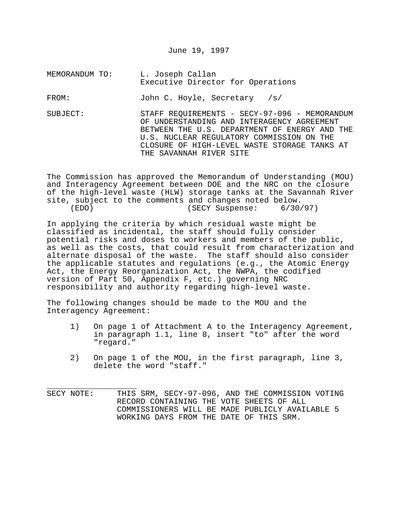June 19, 1997

MEMORANDUM TO: L. Joseph Callan Executive Director for Operations

FROM: John C. Hoyle, Secretary /s/

SUBJECT: STAFF REQUIREMENTS - SECY-97-096 - MEMORANDUM OF UNDERSTANDING AND INTERAGENCY AGREEMENT BETWEEN THE U.S. DEPARTMENT OF ENERGY AND THE U.S. NUCLEAR REGULATORY COMMISSION ON THE CLOSURE OF HIGH-LEVEL WASTE STORAGE TANKS AT THE SAVANNAH RIVER SITE

The Commission has approved the Memorandum of Understanding (MOU) and Interagency Agreement between DOE and the NRC on the closure of the high-level waste (HLW) storage tanks at the Savannah River site, subject to the comments and changes noted below. (EDO) (SECY Suspense: 6/30/97)

In applying the criteria by which residual waste might be classified as incidental, the staff should fully consider potential risks and doses to workers and members of the public, as well as the costs, that could result from characterization and alternate disposal of the waste. The staff should also consider the applicable statutes and regulations (e.g., the Atomic Energy Act, the Energy Reorganization Act, the NWPA, the codified version of Part 50, Appendix F, etc.) governing NRC responsibility and authority regarding high-level waste.

The following changes should be made to the MOU and the Interagency Agreement:

- 1) On page 1 of Attachment A to the Interagency Agreement, in paragraph 1.1, line 8, insert "to" after the word "regard."
- 2) On page 1 of the MOU, in the first paragraph, line 3, delete the word "staff."

\_\_\_\_\_\_\_\_\_\_\_\_\_\_\_\_\_\_\_ SECY NOTE: THIS SRM, SECY-97-096, AND THE COMMISSION VOTING RECORD CONTAINING THE VOTE SHEETS OF ALL COMMISSIONERS WILL BE MADE PUBLICLY AVAILABLE 5 WORKING DAYS FROM THE DATE OF THIS SRM.